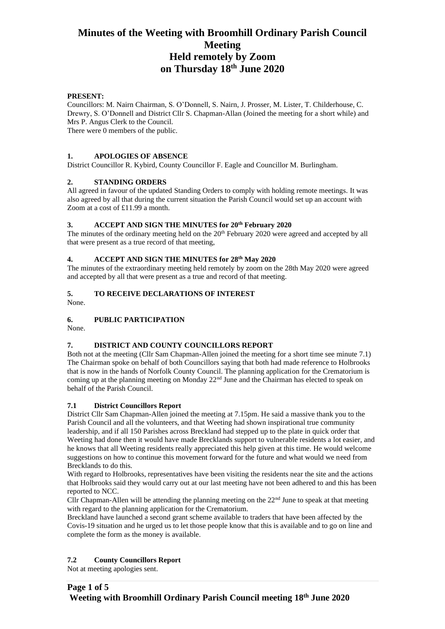### **PRESENT:**

Councillors: M. Nairn Chairman, S. O'Donnell, S. Nairn, J. Prosser, M. Lister, T. Childerhouse, C. Drewry, S. O'Donnell and District Cllr S. Chapman-Allan (Joined the meeting for a short while) and Mrs P. Angus Clerk to the Council.

There were 0 members of the public.

### **1. APOLOGIES OF ABSENCE**

District Councillor R. Kybird, County Councillor F. Eagle and Councillor M. Burlingham.

### **2. STANDING ORDERS**

All agreed in favour of the updated Standing Orders to comply with holding remote meetings. It was also agreed by all that during the current situation the Parish Council would set up an account with Zoom at a cost of £11.99 a month.

### **3. ACCEPT AND SIGN THE MINUTES for 20th February 2020**

The minutes of the ordinary meeting held on the 20<sup>th</sup> February 2020 were agreed and accepted by all that were present as a true record of that meeting,

# **4. ACCEPT AND SIGN THE MINUTES for 28th May 2020**

The minutes of the extraordinary meeting held remotely by zoom on the 28th May 2020 were agreed and accepted by all that were present as a true and record of that meeting.

# **5. TO RECEIVE DECLARATIONS OF INTEREST**

None.

# **6. PUBLIC PARTICIPATION**

None.

# **7. DISTRICT AND COUNTY COUNCILLORS REPORT**

Both not at the meeting (Cllr Sam Chapman-Allen joined the meeting for a short time see minute 7.1) The Chairman spoke on behalf of both Councillors saying that both had made reference to Holbrooks that is now in the hands of Norfolk County Council. The planning application for the Crematorium is coming up at the planning meeting on Monday  $22<sup>nd</sup>$  June and the Chairman has elected to speak on behalf of the Parish Council.

#### **7.1 District Councillors Report**

District Cllr Sam Chapman-Allen joined the meeting at 7.15pm. He said a massive thank you to the Parish Council and all the volunteers, and that Weeting had shown inspirational true community leadership, and if all 150 Parishes across Breckland had stepped up to the plate in quick order that Weeting had done then it would have made Brecklands support to vulnerable residents a lot easier, and he knows that all Weeting residents really appreciated this help given at this time. He would welcome suggestions on how to continue this movement forward for the future and what would we need from Brecklands to do this.

With regard to Holbrooks, representatives have been visiting the residents near the site and the actions that Holbrooks said they would carry out at our last meeting have not been adhered to and this has been reported to NCC.

Cllr Chapman-Allen will be attending the planning meeting on the  $22<sup>nd</sup>$  June to speak at that meeting with regard to the planning application for the Crematorium.

Breckland have launched a second grant scheme available to traders that have been affected by the Covis-19 situation and he urged us to let those people know that this is available and to go on line and complete the form as the money is available.

# **7.2 County Councillors Report**

Not at meeting apologies sent.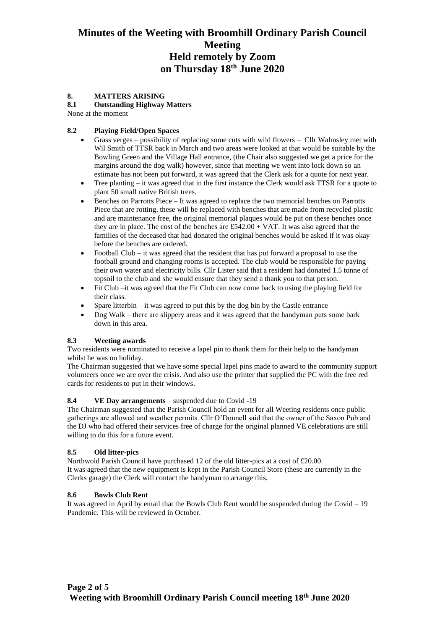# **8. MATTERS ARISING**

#### **8.1 Outstanding Highway Matters**

None at the moment

### **8.2 Playing Field/Open Spaces**

- Grass verges possibility of replacing some cuts with wild flowers Cllr Walmsley met with Wil Smith of TTSR back in March and two areas were looked at that would be suitable by the Bowling Green and the Village Hall entrance, (the Chair also suggested we get a price for the margins around the dog walk) however, since that meeting we went into lock down so an estimate has not been put forward, it was agreed that the Clerk ask for a quote for next year.
- Tree planting it was agreed that in the first instance the Clerk would ask TTSR for a quote to plant 50 small native British trees.
- Benches on Parrotts Piece It was agreed to replace the two memorial benches on Parrotts Piece that are rotting, these will be replaced with benches that are made from recycled plastic and are maintenance free, the original memorial plaques would be put on these benches once they are in place. The cost of the benches are  $£542.00 + VAT$ . It was also agreed that the families of the deceased that had donated the original benches would be asked if it was okay before the benches are ordered.
- Football Club it was agreed that the resident that has put forward a proposal to use the football ground and changing rooms is accepted. The club would be responsible for paying their own water and electricity bills. Cllr Lister said that a resident had donated 1.5 tonne of topsoil to the club and she would ensure that they send a thank you to that person.
- Fit Club –it was agreed that the Fit Club can now come back to using the playing field for their class.
- Spare litterbin  $-$  it was agreed to put this by the dog bin by the Castle entrance
- Dog Walk there are slippery areas and it was agreed that the handyman puts some bark down in this area.

# **8.3 Weeting awards**

Two residents were nominated to receive a lapel pin to thank them for their help to the handyman whilst he was on holiday.

The Chairman suggested that we have some special lapel pins made to award to the community support volunteers once we are over the crisis. And also use the printer that supplied the PC with the free red cards for residents to put in their windows.

#### **8.4 VE Day arrangements** – suspended due to Covid -19

The Chairman suggested that the Parish Council hold an event for all Weeting residents once public gatherings are allowed and weather permits. Cllr O'Donnell said that the owner of the Saxon Pub and the DJ who had offered their services free of charge for the original planned VE celebrations are still willing to do this for a future event.

# **8.5 Old litter-pics**

Northwold Parish Council have purchased 12 of the old litter-pics at a cost of £20.00. It was agreed that the new equipment is kept in the Parish Council Store (these are currently in the Clerks garage) the Clerk will contact the handyman to arrange this.

#### **8.6 Bowls Club Rent**

It was agreed in April by email that the Bowls Club Rent would be suspended during the Covid – 19 Pandemic. This will be reviewed in October.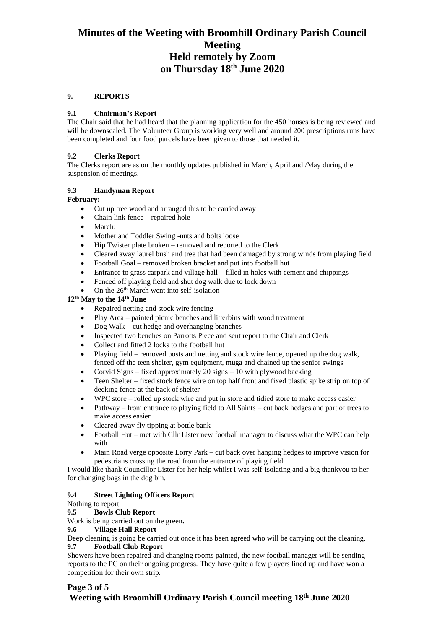### **9. REPORTS**

### **9.1 Chairman's Report**

The Chair said that he had heard that the planning application for the 450 houses is being reviewed and will be downscaled. The Volunteer Group is working very well and around 200 prescriptions runs have been completed and four food parcels have been given to those that needed it.

### **9.2 Clerks Report**

The Clerks report are as on the monthly updates published in March, April and /May during the suspension of meetings.

### **9.3 Handyman Report**

### **February: -**

- Cut up tree wood and arranged this to be carried away
- Chain link fence repaired hole
- March:
- Mother and Toddler Swing -nuts and bolts loose
- Hip Twister plate broken removed and reported to the Clerk
- Cleared away laurel bush and tree that had been damaged by strong winds from playing field
- Football Goal removed broken bracket and put into football hut
- Entrance to grass carpark and village hall filled in holes with cement and chippings
- Fenced off playing field and shut dog walk due to lock down
- On the  $26<sup>th</sup>$  March went into self-isolation

# **12th May to the 14th June**

- Repaired netting and stock wire fencing
- Play Area painted picnic benches and litterbins with wood treatment
- Dog Walk cut hedge and overhanging branches
- Inspected two benches on Parrotts Piece and sent report to the Chair and Clerk
- Collect and fitted 2 locks to the football hut
- Playing field removed posts and netting and stock wire fence, opened up the dog walk, fenced off the teen shelter, gym equipment, muga and chained up the senior swings
- Corvid Signs fixed approximately 20 signs 10 with plywood backing
- Teen Shelter fixed stock fence wire on top half front and fixed plastic spike strip on top of decking fence at the back of shelter
- WPC store rolled up stock wire and put in store and tidied store to make access easier
- Pathway from entrance to playing field to All Saints cut back hedges and part of trees to make access easier
- Cleared away fly tipping at bottle bank
- Football Hut met with Cllr Lister new football manager to discuss what the WPC can help with
- Main Road verge opposite Lorry Park cut back over hanging hedges to improve vision for pedestrians crossing the road from the entrance of playing field.

I would like thank Councillor Lister for her help whilst I was self-isolating and a big thankyou to her for changing bags in the dog bin.

# **9.4 Street Lighting Officers Report**

# Nothing to report.

# **9.5 Bowls Club Report**

Work is being carried out on the green**.**

#### **9.6 Village Hall Report**

Deep cleaning is going be carried out once it has been agreed who will be carrying out the cleaning. **9.7 Football Club Report**

Showers have been repaired and changing rooms painted, the new football manager will be sending reports to the PC on their ongoing progress. They have quite a few players lined up and have won a competition for their own strip.

# **Page 3 of 5**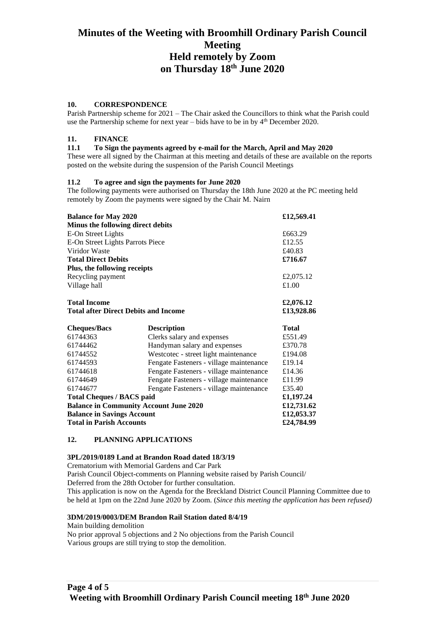#### **10. CORRESPONDENCE**

Parish Partnership scheme for 2021 – The Chair asked the Councillors to think what the Parish could use the Partnership scheme for next year – bids have to be in by  $4<sup>th</sup>$  December 2020.

### **11. FINANCE**

#### **11.1 To Sign the payments agreed by e-mail for the March, April and May 2020**

These were all signed by the Chairman at this meeting and details of these are available on the reports posted on the website during the suspension of the Parish Council Meetings

#### **11.2 To agree and sign the payments for June 2020**

The following payments were authorised on Thursday the 18th June 2020 at the PC meeting held remotely by Zoom the payments were signed by the Chair M. Nairn

| <b>Balance for May 2020</b>                   |                                         | £12,569.41   |
|-----------------------------------------------|-----------------------------------------|--------------|
| Minus the following direct debits             |                                         |              |
| E-On Street Lights                            |                                         | £663.29      |
| E-On Street Lights Parrots Piece              |                                         | £12.55       |
| Viridor Waste                                 |                                         | £40.83       |
| <b>Total Direct Debits</b>                    |                                         | £716.67      |
| Plus, the following receipts                  |                                         |              |
| Recycling payment                             |                                         | £2,075.12    |
| Village hall                                  |                                         | £1.00        |
| <b>Total Income</b>                           |                                         | £2,076.12    |
| <b>Total after Direct Debits and Income</b>   |                                         | £13,928.86   |
|                                               |                                         |              |
| <b>Cheques/Bacs</b>                           | <b>Description</b>                      | <b>Total</b> |
| 61744363                                      | Clerks salary and expenses              | £551.49      |
| 61744462                                      | Handyman salary and expenses            | £370.78      |
| 61744552                                      | Westcotec - street light maintenance    | £194.08      |
| 61744593                                      | Fengate Fasteners - village maintenance | £19.14       |
| 61744618                                      | Fengate Fasteners - village maintenance | £14.36       |
| 61744649                                      | Fengate Fasteners - village maintenance | £11.99       |
| 61744677                                      | Fengate Fasteners - village maintenance | £35.40       |
| <b>Total Cheques / BACS paid</b>              |                                         | £1,197.24    |
| <b>Balance in Community Account June 2020</b> |                                         | £12,731.62   |
| <b>Balance in Savings Account</b>             |                                         | £12,053.37   |

#### **12. PLANNING APPLICATIONS**

#### **3PL/2019/0189 Land at Brandon Road dated 18/3/19**

Crematorium with Memorial Gardens and Car Park

Parish Council Object-comments on Planning website raised by Parish Council/ Deferred from the 28th October for further consultation. This application is now on the Agenda for the Breckland District Council Planning Committee due to be held at 1pm on the 22nd June 2020 by Zoom. (*Since this meeting the application has been refused)*

#### **3DM/2019/0003/DEM Brandon Rail Station dated 8/4/19**

Main building demolition

No prior approval 5 objections and 2 No objections from the Parish Council Various groups are still trying to stop the demolition.